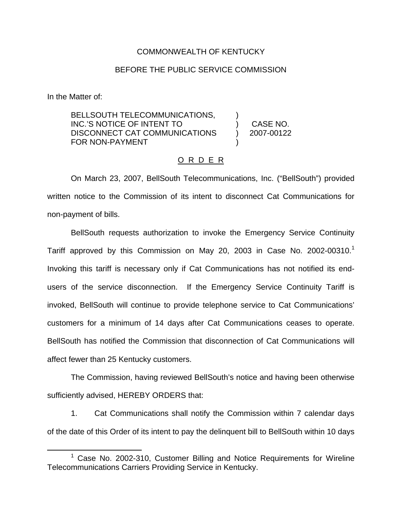## COMMONWEALTH OF KENTUCKY

## BEFORE THE PUBLIC SERVICE COMMISSION

In the Matter of:

BELLSOUTH TELECOMMUNICATIONS, INC.'S NOTICE OF INTENT TO DISCONNECT CAT COMMUNICATIONS FOR NON-PAYMENT

) CASE NO. ) 2007-00122

)

)

## O R D E R

On March 23, 2007, BellSouth Telecommunications, Inc. ("BellSouth") provided written notice to the Commission of its intent to disconnect Cat Communications for non-payment of bills.

BellSouth requests authorization to invoke the Emergency Service Continuity Tariff approved by this Commission on May 20, 2003 in Case No. 2002-00310.<sup>1</sup> Invoking this tariff is necessary only if Cat Communications has not notified its endusers of the service disconnection. If the Emergency Service Continuity Tariff is invoked, BellSouth will continue to provide telephone service to Cat Communications' customers for a minimum of 14 days after Cat Communications ceases to operate. BellSouth has notified the Commission that disconnection of Cat Communications will affect fewer than 25 Kentucky customers.

The Commission, having reviewed BellSouth's notice and having been otherwise sufficiently advised, HEREBY ORDERS that:

1. Cat Communications shall notify the Commission within 7 calendar days of the date of this Order of its intent to pay the delinquent bill to BellSouth within 10 days

 $1$  Case No. 2002-310, Customer Billing and Notice Requirements for Wireline Telecommunications Carriers Providing Service in Kentucky.